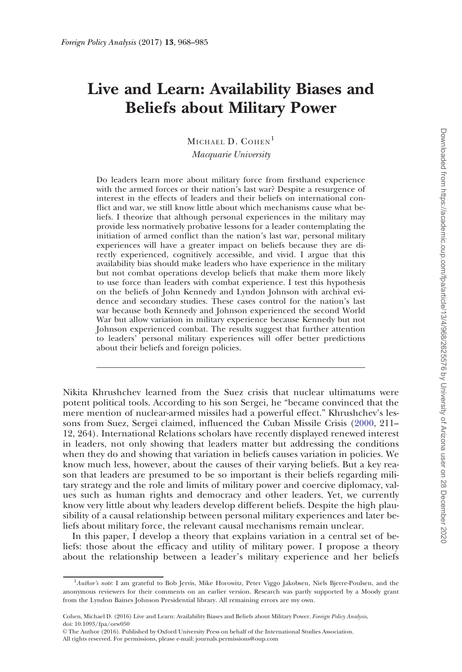# Live and Learn: Availability Biases and Beliefs about Military Power

MICHAEL D. COHEN<sup>1</sup>

Macquarie University

Do leaders learn more about military force from firsthand experience with the armed forces or their nation's last war? Despite a resurgence of interest in the effects of leaders and their beliefs on international conflict and war, we still know little about which mechanisms cause what beliefs. I theorize that although personal experiences in the military may provide less normatively probative lessons for a leader contemplating the initiation of armed conflict than the nation's last war, personal military experiences will have a greater impact on beliefs because they are directly experienced, cognitively accessible, and vivid. I argue that this availability bias should make leaders who have experience in the military but not combat operations develop beliefs that make them more likely to use force than leaders with combat experience. I test this hypothesis on the beliefs of John Kennedy and Lyndon Johnson with archival evidence and secondary studies. These cases control for the nation's last war because both Kennedy and Johnson experienced the second World War but allow variation in military experience because Kennedy but not Johnson experienced combat. The results suggest that further attention to leaders' personal military experiences will offer better predictions about their beliefs and foreign policies.

Nikita Khrushchev learned from the Suez crisis that nuclear ultimatums were potent political tools. According to his son Sergei, he "became convinced that the mere mention of nuclear-armed missiles had a powerful effect." Khrushchev's lessons from Suez, Sergei claimed, influenced the Cuban Missile Crisis ([2000](#page-16-0), 211– 12, 264). International Relations scholars have recently displayed renewed interest in leaders, not only showing that leaders matter but addressing the conditions when they do and showing that variation in beliefs causes variation in policies. We know much less, however, about the causes of their varying beliefs. But a key reason that leaders are presumed to be so important is their beliefs regarding military strategy and the role and limits of military power and coercive diplomacy, values such as human rights and democracy and other leaders. Yet, we currently know very little about why leaders develop different beliefs. Despite the high plausibility of a causal relationship between personal military experiences and later beliefs about military force, the relevant causal mechanisms remain unclear.

In this paper, I develop a theory that explains variation in a central set of beliefs: those about the efficacy and utility of military power. I propose a theory about the relationship between a leader's military experience and her beliefs

<sup>&</sup>lt;sup>1</sup>Author's note: I am grateful to Bob Jervis, Mike Horowitz, Peter Viggo Jakobsen, Niels Bjerre-Poulsen, and the anonymous reviewers for their comments on an earlier version. Research was partly supported by a Moody grant from the Lyndon Baines Johnson Presidential library. All remaining errors are my own.

Cohen, Michael D. (2016) Live and Learn: Availability Biases and Beliefs about Military Power. Foreign Policy Analysis, doi: 10.1093/fpa/orw050

V<sup>C</sup> The Author (2016). Published by Oxford University Press on behalf of the International Studies Association.

All rights reserved. For permissions, please e-mail: journals.permissions@oup.com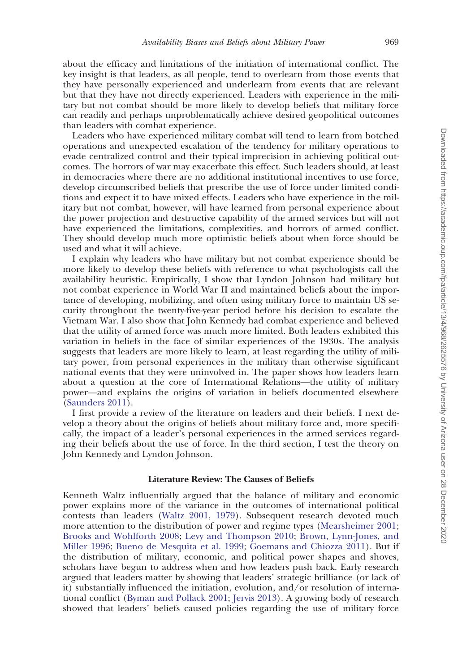about the efficacy and limitations of the initiation of international conflict. The key insight is that leaders, as all people, tend to overlearn from those events that they have personally experienced and underlearn from events that are relevant but that they have not directly experienced. Leaders with experience in the military but not combat should be more likely to develop beliefs that military force can readily and perhaps unproblematically achieve desired geopolitical outcomes than leaders with combat experience.

Leaders who have experienced military combat will tend to learn from botched operations and unexpected escalation of the tendency for military operations to evade centralized control and their typical imprecision in achieving political outcomes. The horrors of war may exacerbate this effect. Such leaders should, at least in democracies where there are no additional institutional incentives to use force, develop circumscribed beliefs that prescribe the use of force under limited conditions and expect it to have mixed effects. Leaders who have experience in the military but not combat, however, will have learned from personal experience about the power projection and destructive capability of the armed services but will not have experienced the limitations, complexities, and horrors of armed conflict. They should develop much more optimistic beliefs about when force should be used and what it will achieve.

I explain why leaders who have military but not combat experience should be more likely to develop these beliefs with reference to what psychologists call the availability heuristic. Empirically, I show that Lyndon Johnson had military but not combat experience in World War II and maintained beliefs about the importance of developing, mobilizing, and often using military force to maintain US security throughout the twenty-five-year period before his decision to escalate the Vietnam War. I also show that John Kennedy had combat experience and believed that the utility of armed force was much more limited. Both leaders exhibited this variation in beliefs in the face of similar experiences of the 1930s. The analysis suggests that leaders are more likely to learn, at least regarding the utility of military power, from personal experiences in the military than otherwise significant national events that they were uninvolved in. The paper shows how leaders learn about a question at the core of International Relations—the utility of military power—and explains the origins of variation in beliefs documented elsewhere ([Saunders 2011\)](#page-17-0).

I first provide a review of the literature on leaders and their beliefs. I next develop a theory about the origins of beliefs about military force and, more specifically, the impact of a leader's personal experiences in the armed services regarding their beliefs about the use of force. In the third section, I test the theory on John Kennedy and Lyndon Johnson.

#### Literature Review: The Causes of Beliefs

Kenneth Waltz influentially argued that the balance of military and economic power explains more of the variance in the outcomes of international political contests than leaders [\(Waltz 2001](#page-17-0), [1979\)](#page-17-0). Subsequent research devoted much more attention to the distribution of power and regime types [\(Mearsheimer 2001;](#page-17-0) [Brooks and Wohlforth 2008](#page-15-0); [Levy and Thompson 2010;](#page-16-0) [Brown, Lynn-Jones, and](#page-15-0) [Miller 1996;](#page-15-0) [Bueno de Mesquita et al. 1999](#page-15-0); [Goemans and Chiozza 2011\)](#page-16-0). But if the distribution of military, economic, and political power shapes and shoves, scholars have begun to address when and how leaders push back. Early research argued that leaders matter by showing that leaders' strategic brilliance (or lack of it) substantially influenced the initiation, evolution, and/or resolution of international conflict ([Byman and Pollack 2001](#page-15-0); [Jervis 2013\)](#page-16-0). A growing body of research showed that leaders' beliefs caused policies regarding the use of military force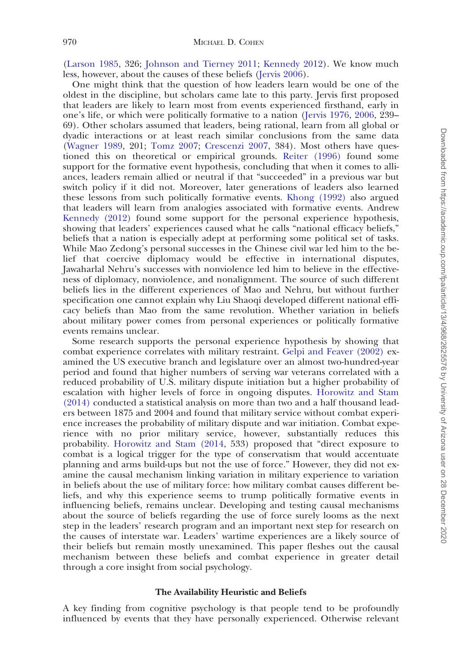([Larson 1985,](#page-16-0) 326; [Johnson and Tierney 2011;](#page-16-0) [Kennedy 2012\)](#page-16-0). We know much less, however, about the causes of these beliefs ([Jervis 2006](#page-16-0)).

One might think that the question of how leaders learn would be one of the oldest in the discipline, but scholars came late to this party. Jervis first proposed that leaders are likely to learn most from events experienced firsthand, early in one's life, or which were politically formative to a nation ([Jervis 1976,](#page-16-0) [2006,](#page-16-0) 239– 69). Other scholars assumed that leaders, being rational, learn from all global or dyadic interactions or at least reach similar conclusions from the same data ([Wagner 1989](#page-17-0), 201; [Tomz 2007](#page-17-0); [Crescenzi 2007](#page-15-0), 384). Most others have questioned this on theoretical or empirical grounds. [Reiter \(1996\)](#page-17-0) found some support for the formative event hypothesis, concluding that when it comes to alliances, leaders remain allied or neutral if that "succeeded" in a previous war but switch policy if it did not. Moreover, later generations of leaders also learned these lessons from such politically formative events. [Khong \(1992\)](#page-16-0) also argued that leaders will learn from analogies associated with formative events. Andrew [Kennedy \(2012\)](#page-16-0) found some support for the personal experience hypothesis, showing that leaders' experiences caused what he calls "national efficacy beliefs," beliefs that a nation is especially adept at performing some political set of tasks. While Mao Zedong's personal successes in the Chinese civil war led him to the belief that coercive diplomacy would be effective in international disputes, Jawaharlal Nehru's successes with nonviolence led him to believe in the effectiveness of diplomacy, nonviolence, and nonalignment. The source of such different beliefs lies in the different experiences of Mao and Nehru, but without further specification one cannot explain why Liu Shaoqi developed different national efficacy beliefs than Mao from the same revolution. Whether variation in beliefs about military power comes from personal experiences or politically formative events remains unclear.

Some research supports the personal experience hypothesis by showing that combat experience correlates with military restraint. [Gelpi and Feaver \(2002\)](#page-16-0) examined the US executive branch and legislature over an almost two-hundred-year period and found that higher numbers of serving war veterans correlated with a reduced probability of U.S. military dispute initiation but a higher probability of escalation with higher levels of force in ongoing disputes. [Horowitz and Stam](#page-16-0) [\(2014\)](#page-16-0) conducted a statistical analysis on more than two and a half thousand leaders between 1875 and 2004 and found that military service without combat experience increases the probability of military dispute and war initiation. Combat experience with no prior military service, however, substantially reduces this probability. [Horowitz and Stam \(2014,](#page-16-0) 533) proposed that "direct exposure to combat is a logical trigger for the type of conservatism that would accentuate planning and arms build-ups but not the use of force." However, they did not examine the causal mechanism linking variation in military experience to variation in beliefs about the use of military force: how military combat causes different beliefs, and why this experience seems to trump politically formative events in influencing beliefs, remains unclear. Developing and testing causal mechanisms about the source of beliefs regarding the use of force surely looms as the next step in the leaders' research program and an important next step for research on the causes of interstate war. Leaders' wartime experiences are a likely source of their beliefs but remain mostly unexamined. This paper fleshes out the causal mechanism between these beliefs and combat experience in greater detail through a core insight from social psychology.

## The Availability Heuristic and Beliefs

A key finding from cognitive psychology is that people tend to be profoundly influenced by events that they have personally experienced. Otherwise relevant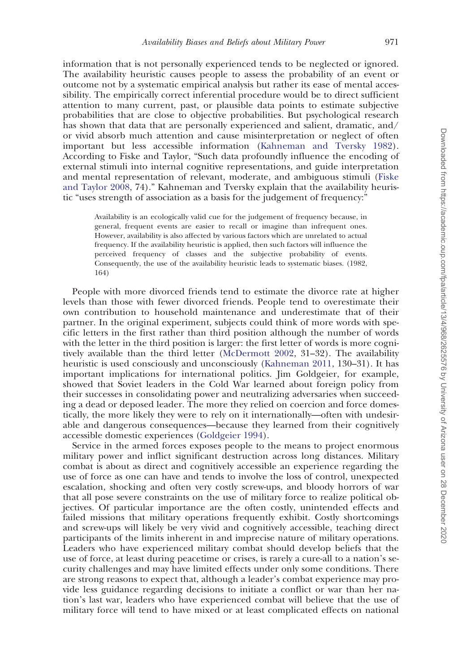information that is not personally experienced tends to be neglected or ignored. The availability heuristic causes people to assess the probability of an event or outcome not by a systematic empirical analysis but rather its ease of mental accessibility. The empirically correct inferential procedure would be to direct sufficient attention to many current, past, or plausible data points to estimate subjective probabilities that are close to objective probabilities. But psychological research has shown that data that are personally experienced and salient, dramatic, and/ or vivid absorb much attention and cause misinterpretation or neglect of often important but less accessible information [\(Kahneman and Tversky 1982](#page-16-0)). According to Fiske and Taylor, "Such data profoundly influence the encoding of external stimuli into internal cognitive representations, and guide interpretation and mental representation of relevant, moderate, and ambiguous stimuli [\(Fiske](#page-16-0) [and Taylor 2008,](#page-16-0) 74)." Kahneman and Tversky explain that the availability heuristic "uses strength of association as a basis for the judgement of frequency:"

Availability is an ecologically valid cue for the judgement of frequency because, in general, frequent events are easier to recall or imagine than infrequent ones. However, availability is also affected by various factors which are unrelated to actual frequency. If the availability heuristic is applied, then such factors will influence the perceived frequency of classes and the subjective probability of events. Consequently, the use of the availability heuristic leads to systematic biases. (1982, 164)

People with more divorced friends tend to estimate the divorce rate at higher levels than those with fewer divorced friends. People tend to overestimate their own contribution to household maintenance and underestimate that of their partner. In the original experiment, subjects could think of more words with specific letters in the first rather than third position although the number of words with the letter in the third position is larger: the first letter of words is more cognitively available than the third letter ([McDermott 2002,](#page-17-0) 31–32). The availability heuristic is used consciously and unconsciously [\(Kahneman 2011,](#page-16-0) 130–31). It has important implications for international politics. Jim Goldgeier, for example, showed that Soviet leaders in the Cold War learned about foreign policy from their successes in consolidating power and neutralizing adversaries when succeeding a dead or deposed leader. The more they relied on coercion and force domestically, the more likely they were to rely on it internationally—often with undesirable and dangerous consequences—because they learned from their cognitively accessible domestic experiences [\(Goldgeier 1994\)](#page-16-0).

Service in the armed forces exposes people to the means to project enormous military power and inflict significant destruction across long distances. Military combat is about as direct and cognitively accessible an experience regarding the use of force as one can have and tends to involve the loss of control, unexpected escalation, shocking and often very costly screw-ups, and bloody horrors of war that all pose severe constraints on the use of military force to realize political objectives. Of particular importance are the often costly, unintended effects and failed missions that military operations frequently exhibit. Costly shortcomings and screw-ups will likely be very vivid and cognitively accessible, teaching direct participants of the limits inherent in and imprecise nature of military operations. Leaders who have experienced military combat should develop beliefs that the use of force, at least during peacetime or crises, is rarely a cure-all to a nation's security challenges and may have limited effects under only some conditions. There are strong reasons to expect that, although a leader's combat experience may provide less guidance regarding decisions to initiate a conflict or war than her nation's last war, leaders who have experienced combat will believe that the use of military force will tend to have mixed or at least complicated effects on national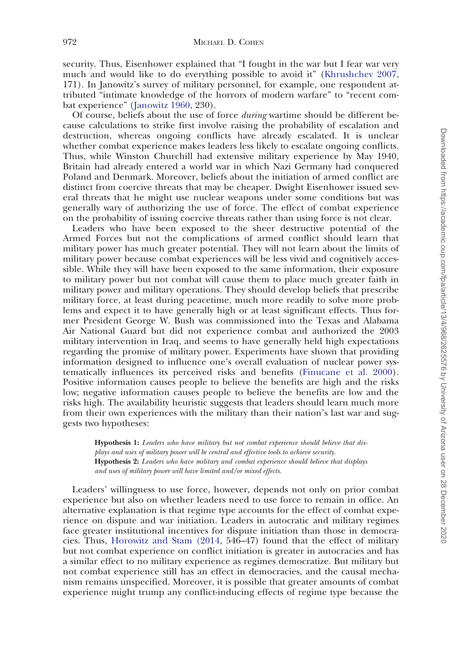security. Thus, Eisenhower explained that "I fought in the war but I fear war very much and would like to do everything possible to avoid it" ([Khrushchev 2007,](#page-16-0) 171). In Janowitz's survey of military personnel, for example, one respondent attributed "intimate knowledge of the horrors of modern warfare" to "recent combat experience" [\(Janowitz 1960,](#page-16-0) 230).

Of course, beliefs about the use of force during wartime should be different because calculations to strike first involve raising the probability of escalation and destruction, whereas ongoing conflicts have already escalated. It is unclear whether combat experience makes leaders less likely to escalate ongoing conflicts. Thus, while Winston Churchill had extensive military experience by May 1940, Britain had already entered a world war in which Nazi Germany had conquered Poland and Denmark. Moreover, beliefs about the initiation of armed conflict are distinct from coercive threats that may be cheaper. Dwight Eisenhower issued several threats that he might use nuclear weapons under some conditions but was generally wary of authorizing the use of force. The effect of combat experience on the probability of issuing coercive threats rather than using force is not clear.

Leaders who have been exposed to the sheer destructive potential of the Armed Forces but not the complications of armed conflict should learn that military power has much greater potential. They will not learn about the limits of military power because combat experiences will be less vivid and cognitively accessible. While they will have been exposed to the same information, their exposure to military power but not combat will cause them to place much greater faith in military power and military operations. They should develop beliefs that prescribe military force, at least during peacetime, much more readily to solve more problems and expect it to have generally high or at least significant effects. Thus former President George W. Bush was commissioned into the Texas and Alabama Air National Guard but did not experience combat and authorized the 2003 military intervention in Iraq, and seems to have generally held high expectations regarding the promise of military power. Experiments have shown that providing information designed to influence one's overall evaluation of nuclear power systematically influences its perceived risks and benefits [\(Finucane et al. 2000](#page-16-0)). Positive information causes people to believe the benefits are high and the risks low; negative information causes people to believe the benefits are low and the risks high. The availability heuristic suggests that leaders should learn much more from their own experiences with the military than their nation's last war and suggests two hypotheses:

Hypothesis 1: Leaders who have military but not combat experience should believe that displays and uses of military power will be central and effective tools to achieve security. Hypothesis 2: Leaders who have military and combat experience should believe that displays and uses of military power will have limited and/or mixed effects.

Leaders' willingness to use force, however, depends not only on prior combat experience but also on whether leaders need to use force to remain in office. An alternative explanation is that regime type accounts for the effect of combat experience on dispute and war initiation. Leaders in autocratic and military regimes face greater institutional incentives for dispute initiation than those in democracies. Thus, [Horowitz and Stam \(2014](#page-16-0), 546–47) found that the effect of military but not combat experience on conflict initiation is greater in autocracies and has a similar effect to no military experience as regimes democratize. But military but not combat experience still has an effect in democracies, and the causal mechanism remains unspecified. Moreover, it is possible that greater amounts of combat experience might trump any conflict-inducing effects of regime type because the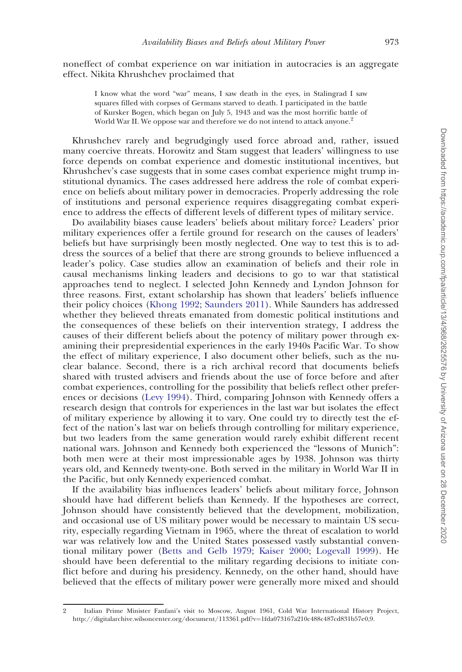noneffect of combat experience on war initiation in autocracies is an aggregate effect. Nikita Khrushchev proclaimed that

I know what the word "war" means, I saw death in the eyes, in Stalingrad I saw squares filled with corpses of Germans starved to death. I participated in the battle of Kursker Bogen, which began on July 5, 1943 and was the most horrific battle of World War II. We oppose war and therefore we do not intend to attack anyone.<sup>2</sup>

Khrushchev rarely and begrudgingly used force abroad and, rather, issued many coercive threats. Horowitz and Stam suggest that leaders' willingness to use force depends on combat experience and domestic institutional incentives, but Khrushchev's case suggests that in some cases combat experience might trump institutional dynamics. The cases addressed here address the role of combat experience on beliefs about military power in democracies. Properly addressing the role of institutions and personal experience requires disaggregating combat experience to address the effects of different levels of different types of military service.

Do availability biases cause leaders' beliefs about military force? Leaders' prior military experiences offer a fertile ground for research on the causes of leaders' beliefs but have surprisingly been mostly neglected. One way to test this is to address the sources of a belief that there are strong grounds to believe influenced a leader's policy. Case studies allow an examination of beliefs and their role in causal mechanisms linking leaders and decisions to go to war that statistical approaches tend to neglect. I selected John Kennedy and Lyndon Johnson for three reasons. First, extant scholarship has shown that leaders' beliefs influence their policy choices [\(Khong 1992;](#page-16-0) [Saunders 2011\)](#page-17-0). While Saunders has addressed whether they believed threats emanated from domestic political institutions and the consequences of these beliefs on their intervention strategy, I address the causes of their different beliefs about the potency of military power through examining their prepresidential experiences in the early 1940s Pacific War. To show the effect of military experience, I also document other beliefs, such as the nuclear balance. Second, there is a rich archival record that documents beliefs shared with trusted advisers and friends about the use of force before and after combat experiences, controlling for the possibility that beliefs reflect other preferences or decisions [\(Levy 1994](#page-16-0)). Third, comparing Johnson with Kennedy offers a research design that controls for experiences in the last war but isolates the effect of military experience by allowing it to vary. One could try to directly test the effect of the nation's last war on beliefs through controlling for military experience, but two leaders from the same generation would rarely exhibit different recent national wars. Johnson and Kennedy both experienced the "lessons of Munich": both men were at their most impressionable ages by 1938. Johnson was thirty years old, and Kennedy twenty-one. Both served in the military in World War II in the Pacific, but only Kennedy experienced combat.

If the availability bias influences leaders' beliefs about military force, Johnson should have had different beliefs than Kennedy. If the hypotheses are correct, Johnson should have consistently believed that the development, mobilization, and occasional use of US military power would be necessary to maintain US security, especially regarding Vietnam in 1965, where the threat of escalation to world war was relatively low and the United States possessed vastly substantial conventional military power [\(Betts and Gelb 1979;](#page-15-0) [Kaiser 2000;](#page-16-0) [Logevall 1999\)](#page-16-0). He should have been deferential to the military regarding decisions to initiate conflict before and during his presidency. Kennedy, on the other hand, should have believed that the effects of military power were generally more mixed and should

<sup>2</sup> Italian Prime Minister Fanfani's visit to Moscow, August 1961, Cold War International History Project, [http://digitalarchive.wilsoncenter.org/document/113361.pdf?v](http://digitalarchive.wilsoncenter.org/document/113361.pdf?v&hx003D;1fda073167a210c488c487cd831b57e0,9)=[1fda073167a210c488c487cd831b57e0,9.](http://digitalarchive.wilsoncenter.org/document/113361.pdf?v&hx003D;1fda073167a210c488c487cd831b57e0,9)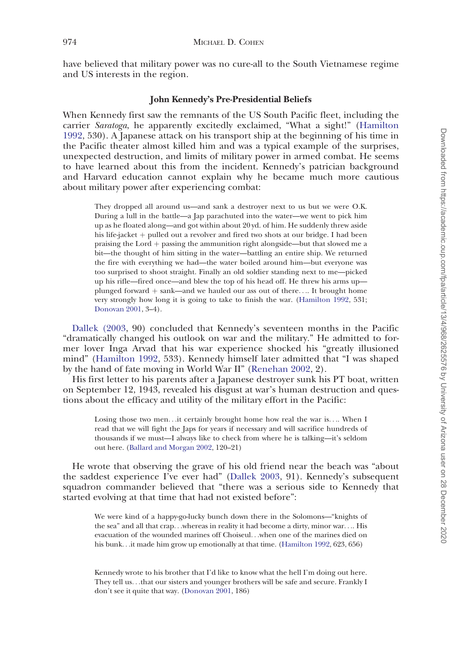have believed that military power was no cure-all to the South Vietnamese regime and US interests in the region.

# John Kennedy's Pre-Presidential Beliefs

When Kennedy first saw the remnants of the US South Pacific fleet, including the carrier Saratoga, he apparently excitedly exclaimed, "What a sight!" [\(Hamilton](#page-16-0) [1992](#page-16-0), 530). A Japanese attack on his transport ship at the beginning of his time in the Pacific theater almost killed him and was a typical example of the surprises, unexpected destruction, and limits of military power in armed combat. He seems to have learned about this from the incident. Kennedy's patrician background and Harvard education cannot explain why he became much more cautious about military power after experiencing combat:

They dropped all around us—and sank a destroyer next to us but we were O.K. During a lull in the battle—a Jap parachuted into the water—we went to pick him up as he floated along—and got within about 20 yd. of him. He suddenly threw aside his life-jacket  $+$  pulled out a revolver and fired two shots at our bridge. I had been praising the Lord  $+$  passing the ammunition right alongside—but that slowed me a bit—the thought of him sitting in the water—battling an entire ship. We returned the fire with everything we had—the water boiled around him—but everyone was too surprised to shoot straight. Finally an old soldier standing next to me—picked up his rifle—fired once—and blew the top of his head off. He threw his arms up plunged forward  $+$  sank—and we hauled our ass out of there.... It brought home very strongly how long it is going to take to finish the war. [\(Hamilton 1992,](#page-16-0) 531; [Donovan 2001,](#page-15-0) 3–4).

[Dallek \(2003,](#page-15-0) 90) concluded that Kennedy's seventeen months in the Pacific "dramatically changed his outlook on war and the military." He admitted to former lover Inga Arvad that his war experience shocked his "greatly illusioned mind" ([Hamilton 1992](#page-16-0), 533). Kennedy himself later admitted that "I was shaped by the hand of fate moving in World War II" [\(Renehan 2002](#page-17-0), 2).

His first letter to his parents after a Japanese destroyer sunk his PT boat, written on September 12, 1943, revealed his disgust at war's human destruction and questions about the efficacy and utility of the military effort in the Pacific:

Losing those two men...it certainly brought home how real the war is.... When I read that we will fight the Japs for years if necessary and will sacrifice hundreds of thousands if we must—I always like to check from where he is talking—it's seldom out here. ([Ballard and Morgan 2002,](#page-15-0) 120–21)

He wrote that observing the grave of his old friend near the beach was "about the saddest experience I've ever had" ([Dallek 2003,](#page-15-0) 91). Kennedy's subsequent squadron commander believed that "there was a serious side to Kennedy that started evolving at that time that had not existed before":

We were kind of a happy-go-lucky bunch down there in the Solomons—"knights of the sea" and all that crap...whereas in reality it had become a dirty, minor war.... His evacuation of the wounded marines off Choiseul...when one of the marines died on his bunk...it made him grow up emotionally at that time. ([Hamilton 1992,](#page-16-0) 623, 656)

Kennedy wrote to his brother that I'd like to know what the hell I'm doing out here. They tell us...that our sisters and younger brothers will be safe and secure. Frankly I don't see it quite that way. [\(Donovan 2001,](#page-15-0) 186)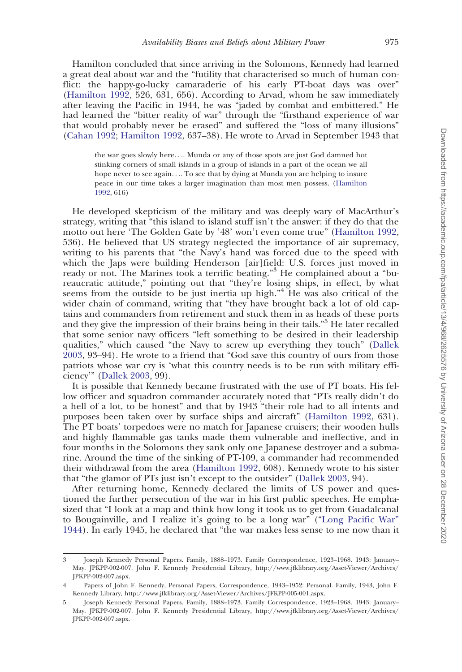Hamilton concluded that since arriving in the Solomons, Kennedy had learned a great deal about war and the "futility that characterised so much of human conflict: the happy-go-lucky camaraderie of his early PT-boat days was over" ([Hamilton 1992,](#page-16-0) 526, 631, 656). According to Arvad, whom he saw immediately after leaving the Pacific in 1944, he was "jaded by combat and embittered." He had learned the "bitter reality of war" through the "firsthand experience of war that would probably never be erased" and suffered the "loss of many illusions" ([Cahan 1992;](#page-15-0) [Hamilton 1992](#page-16-0), 637–38). He wrote to Arvad in September 1943 that

the war goes slowly here.... Munda or any of those spots are just God damned hot stinking corners of small islands in a group of islands in a part of the ocean we all hope never to see again.... To see that by dying at Munda you are helping to insure peace in our time takes a larger imagination than most men possess. ([Hamilton](#page-16-0) [1992,](#page-16-0) 616)

He developed skepticism of the military and was deeply wary of MacArthur's strategy, writing that "this island to island stuff isn't the answer: if they do that the motto out here 'The Golden Gate by '48' won't even come true" ([Hamilton 1992,](#page-16-0) 536). He believed that US strategy neglected the importance of air supremacy, writing to his parents that "the Navy's hand was forced due to the speed with which the Japs were building Henderson [air]field: U.S. forces just moved in ready or not. The Marines took a terrific beating."<sup>3</sup> He complained about a "bureaucratic attitude," pointing out that "they're losing ships, in effect, by what seems from the outside to be just inertia up high."<sup>4</sup> He was also critical of the wider chain of command, writing that "they have brought back a lot of old captains and commanders from retirement and stuck them in as heads of these ports and they give the impression of their brains being in their tails."<sup>5</sup> He later recalled that some senior navy officers "left something to be desired in their leadership qualities," which caused "the Navy to screw up everything they touch" [\(Dallek](#page-15-0) [2003](#page-15-0), 93–94). He wrote to a friend that "God save this country of ours from those patriots whose war cry is 'what this country needs is to be run with military efficiency'" ([Dallek 2003](#page-15-0), 99).

It is possible that Kennedy became frustrated with the use of PT boats. His fellow officer and squadron commander accurately noted that "PTs really didn't do a hell of a lot, to be honest" and that by 1943 "their role had to all intents and purposes been taken over by surface ships and aircraft" [\(Hamilton 1992,](#page-16-0) 631). The PT boats' torpedoes were no match for Japanese cruisers; their wooden hulls and highly flammable gas tanks made them vulnerable and ineffective, and in four months in the Solomons they sank only one Japanese destroyer and a submarine. Around the time of the sinking of PT-109, a commander had recommended their withdrawal from the area [\(Hamilton 1992](#page-16-0), 608). Kennedy wrote to his sister that "the glamor of PTs just isn't except to the outsider" [\(Dallek 2003,](#page-15-0) 94).

After returning home, Kennedy declared the limits of US power and questioned the further persecution of the war in his first public speeches. He emphasized that "I look at a map and think how long it took us to get from Guadalcanal to Bougainville, and I realize it's going to be a long war" ("[Long Pacific War](#page-16-0)" [1944](#page-16-0)). In early 1945, he declared that "the war makes less sense to me now than it

<sup>3</sup> Joseph Kennedy Personal Papers. Family, 1888–1973. Family Correspondence, 1923–1968. 1943: January– May. JPKPP-002-007. John F. Kennedy Presidential Library, [http://www.jfklibrary.org/Asset-Viewer/Archives/](http://www.jfklibrary.org/Asset-Viewer/Archives/JPKPP-002-007.aspx) [JPKPP-002-007.aspx.](http://www.jfklibrary.org/Asset-Viewer/Archives/JPKPP-002-007.aspx)

<sup>4</sup> Papers of John F. Kennedy, Personal Papers, Correspondence, 1943–1952: Personal. Family, 1943, John F. Kennedy Library, [http://www.jfklibrary.org/Asset-Viewer/Archives/JFKPP-005-001.aspx.](http://www.jfklibrary.org/Asset-Viewer/Archives/JFKPP-005-001.aspx)

<sup>5</sup> Joseph Kennedy Personal Papers. Family, 1888–1973. Family Correspondence, 1923–1968. 1943: January– May. JPKPP-002-007. John F. Kennedy Presidential Library, [http://www.jfklibrary.org/Asset-Viewer/Archives/](http://www.jfklibrary.org/Asset-Viewer/Archives/JPKPP-002-007.aspx) [JPKPP-002-007.aspx.](http://www.jfklibrary.org/Asset-Viewer/Archives/JPKPP-002-007.aspx)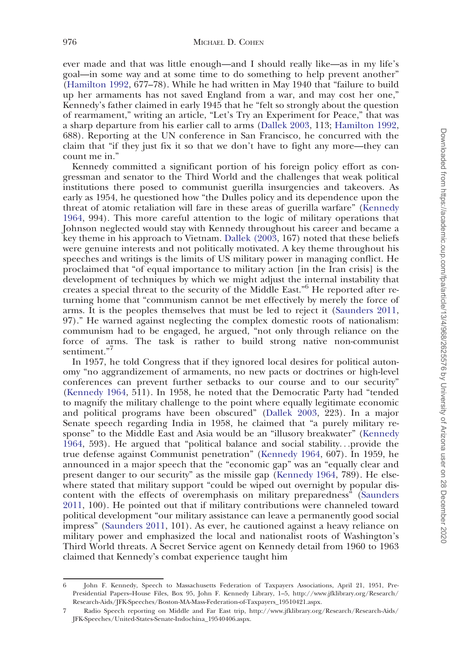ever made and that was little enough—and I should really like—as in my life's goal—in some way and at some time to do something to help prevent another" ([Hamilton 1992,](#page-16-0) 677–78). While he had written in May 1940 that "failure to build up her armaments has not saved England from a war, and may cost her one," Kennedy's father claimed in early 1945 that he "felt so strongly about the question of rearmament," writing an article, "Let's Try an Experiment for Peace," that was a sharp departure from his earlier call to arms [\(Dallek 2003](#page-15-0), 113; [Hamilton 1992,](#page-16-0) 688). Reporting at the UN conference in San Francisco, he concurred with the claim that "if they just fix it so that we don't have to fight any more—they can count me in."

Kennedy committed a significant portion of his foreign policy effort as congressman and senator to the Third World and the challenges that weak political institutions there posed to communist guerilla insurgencies and takeovers. As early as 1954, he questioned how "the Dulles policy and its dependence upon the threat of atomic retaliation will fare in these areas of guerilla warfare" ([Kennedy](#page-16-0) [1964](#page-16-0), 994). This more careful attention to the logic of military operations that Johnson neglected would stay with Kennedy throughout his career and became a key theme in his approach to Vietnam. [Dallek \(2003,](#page-15-0) 167) noted that these beliefs were genuine interests and not politically motivated. A key theme throughout his speeches and writings is the limits of US military power in managing conflict. He proclaimed that "of equal importance to military action [in the Iran crisis] is the development of techniques by which we might adjust the internal instability that creates a special threat to the security of the Middle East."<sup>6</sup> He reported after returning home that "communism cannot be met effectively by merely the force of arms. It is the peoples themselves that must be led to reject it [\(Saunders 2011,](#page-17-0) 97)." He warned against neglecting the complex domestic roots of nationalism: communism had to be engaged, he argued, "not only through reliance on the force of arms. The task is rather to build strong native non-communist sentiment."<sup>7</sup>

In 1957, he told Congress that if they ignored local desires for political autonomy "no aggrandizement of armaments, no new pacts or doctrines or high-level conferences can prevent further setbacks to our course and to our security" ([Kennedy 1964,](#page-16-0) 511). In 1958, he noted that the Democratic Party had "tended to magnify the military challenge to the point where equally legitimate economic and political programs have been obscured" ([Dallek 2003](#page-15-0), 223). In a major Senate speech regarding India in 1958, he claimed that "a purely military response" to the Middle East and Asia would be an "illusory breakwater" ([Kennedy](#page-16-0) [1964](#page-16-0), 593). He argued that "political balance and social stability...provide the true defense against Communist penetration" ([Kennedy 1964,](#page-16-0) 607). In 1959, he announced in a major speech that the "economic gap" was an "equally clear and present danger to our security" as the missile gap [\(Kennedy 1964](#page-16-0), 789). He elsewhere stated that military support "could be wiped out overnight by popular discontent with the effects of overemphasis on military preparedness" ([Saunders](#page-17-0) [2011](#page-17-0), 100). He pointed out that if military contributions were channeled toward political development "our military assistance can leave a permanently good social impress" ([Saunders 2011](#page-17-0), 101). As ever, he cautioned against a heavy reliance on military power and emphasized the local and nationalist roots of Washington's Third World threats. A Secret Service agent on Kennedy detail from 1960 to 1963 claimed that Kennedy's combat experience taught him

<sup>6</sup> John F. Kennedy, Speech to Massachusetts Federation of Taxpayers Associations, April 21, 1951, Pre-Presidential Papers–House Files, Box 95, John F. Kennedy Library, 1–5, [http://www.jfklibrary.org/Research/](http://www.jfklibrary.org/Research/Research-Aids/JFK-Speeches/Boston-MA-Mass-Federation-of-Taxpayers_19510421.aspx) [Research-Aids/JFK-Speeches/Boston-MA-Mass-Federation-of-Taxpayers\\_19510421.aspx](http://www.jfklibrary.org/Research/Research-Aids/JFK-Speeches/Boston-MA-Mass-Federation-of-Taxpayers_19510421.aspx).

<sup>7</sup> Radio Speech reporting on Middle and Far East trip, [http://www.jfklibrary.org/Research/Research-Aids/](http://www.jfklibrary.org/Research/Research-Aids/JFK-Speeches/United-States-Senate-Indochina_19540406.aspx) [JFK-Speeches/United-States-Senate-Indochina\\_19540406.aspx.](http://www.jfklibrary.org/Research/Research-Aids/JFK-Speeches/United-States-Senate-Indochina_19540406.aspx)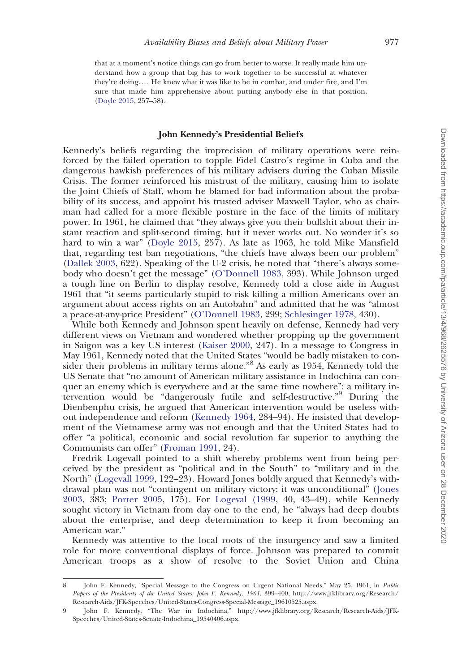that at a moment's notice things can go from better to worse. It really made him understand how a group that big has to work together to be successful at whatever they're doing.... He knew what it was like to be in combat, and under fire, and I'm sure that made him apprehensive about putting anybody else in that position. ([Doyle 2015](#page-16-0), 257–58).

## John Kennedy's Presidential Beliefs

Kennedy's beliefs regarding the imprecision of military operations were reinforced by the failed operation to topple Fidel Castro's regime in Cuba and the dangerous hawkish preferences of his military advisers during the Cuban Missile Crisis. The former reinforced his mistrust of the military, causing him to isolate the Joint Chiefs of Staff, whom he blamed for bad information about the probability of its success, and appoint his trusted adviser Maxwell Taylor, who as chairman had called for a more flexible posture in the face of the limits of military power. In 1961, he claimed that "they always give you their bullshit about their instant reaction and split-second timing, but it never works out. No wonder it's so hard to win a war" ([Doyle 2015](#page-16-0), 257). As late as 1963, he told Mike Mansfield that, regarding test ban negotiations, "the chiefs have always been our problem" ([Dallek 2003,](#page-15-0) 622). Speaking of the U-2 crisis, he noted that "there's always somebody who doesn't get the message" [\(O'Donnell 1983](#page-17-0), 393). While Johnson urged a tough line on Berlin to display resolve, Kennedy told a close aide in August 1961 that "it seems particularly stupid to risk killing a million Americans over an argument about access rights on an Autobahn" and admitted that he was "almost a peace-at-any-price President" ([O'Donnell 1983,](#page-17-0) 299; [Schlesinger 1978](#page-17-0), 430).

While both Kennedy and Johnson spent heavily on defense, Kennedy had very different views on Vietnam and wondered whether propping up the government in Saigon was a key US interest [\(Kaiser 2000,](#page-16-0) 247). In a message to Congress in May 1961, Kennedy noted that the United States "would be badly mistaken to consider their problems in military terms alone."<sup>8</sup> As early as 1954, Kennedy told the US Senate that "no amount of American military assistance in Indochina can conquer an enemy which is everywhere and at the same time nowhere": a military intervention would be "dangerously futile and self-destructive."<sup>9</sup> During the Dienbenphu crisis, he argued that American intervention would be useless without independence and reform ([Kennedy 1964](#page-16-0), 284–94). He insisted that development of the Vietnamese army was not enough and that the United States had to offer "a political, economic and social revolution far superior to anything the Communists can offer" ([Froman 1991,](#page-16-0) 24).

Fredrik Logevall pointed to a shift whereby problems went from being perceived by the president as "political and in the South" to "military and in the North" ([Logevall 1999](#page-16-0), 122–23). Howard Jones boldly argued that Kennedy's withdrawal plan was not "contingent on military victory: it was unconditional" ([Jones](#page-16-0) [2003](#page-16-0), 383; [Porter 2005,](#page-17-0) 175). For [Logeval \(1999](#page-16-0), 40, 43–49), while Kennedy sought victory in Vietnam from day one to the end, he "always had deep doubts about the enterprise, and deep determination to keep it from becoming an American war."

Kennedy was attentive to the local roots of the insurgency and saw a limited role for more conventional displays of force. Johnson was prepared to commit American troops as a show of resolve to the Soviet Union and China

<sup>8</sup> John F. Kennedy, "Special Message to the Congress on Urgent National Needs," May 25, 1961, in Public Papers of the Presidents of the United States: John F. Kennedy, 1961, 399–400, [http://www.jfklibrary.org/Research/](http://www.jfklibrary.org/Research/Research-Aids/JFK-Speeches/United-States-Congress-Special-Message_19610525.aspx) [Research-Aids/JFK-Speeches/United-States-Congress-Special-Message\\_19610525.aspx.](http://www.jfklibrary.org/Research/Research-Aids/JFK-Speeches/United-States-Congress-Special-Message_19610525.aspx)

<sup>9</sup> John F. Kennedy, "The War in Indochina," [http://www.jfklibrary.org/Research/Research-Aids/JFK-](http://www.jfklibrary.org/Research/Research-Aids/JFK-Speeches/United-States-Senate-Indochina_19540406.aspx)[Speeches/United-States-Senate-Indochina\\_19540406.aspx](http://www.jfklibrary.org/Research/Research-Aids/JFK-Speeches/United-States-Senate-Indochina_19540406.aspx).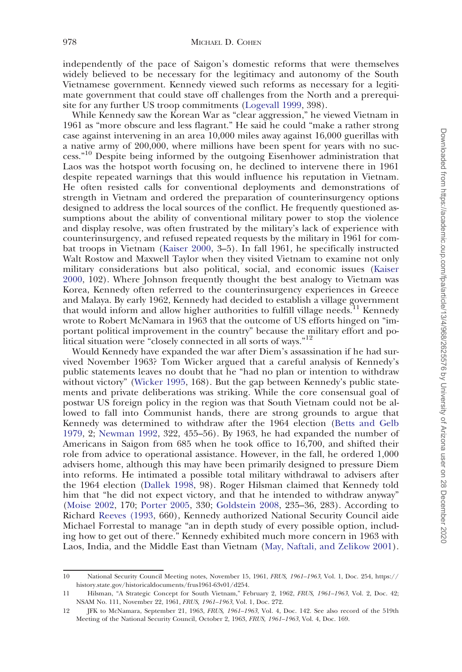independently of the pace of Saigon's domestic reforms that were themselves widely believed to be necessary for the legitimacy and autonomy of the South Vietnamese government. Kennedy viewed such reforms as necessary for a legitimate government that could stave off challenges from the North and a prerequisite for any further US troop commitments ([Logevall 1999,](#page-16-0) 398).

While Kennedy saw the Korean War as "clear aggression," he viewed Vietnam in 1961 as "more obscure and less flagrant." He said he could "make a rather strong case against intervening in an area 10,000 miles away against 16,000 guerillas with a native army of 200,000, where millions have been spent for years with no success."<sup>10</sup> Despite being informed by the outgoing Eisenhower administration that Laos was the hotspot worth focusing on, he declined to intervene there in 1961 despite repeated warnings that this would influence his reputation in Vietnam. He often resisted calls for conventional deployments and demonstrations of strength in Vietnam and ordered the preparation of counterinsurgency options designed to address the local sources of the conflict. He frequently questioned assumptions about the ability of conventional military power to stop the violence and display resolve, was often frustrated by the military's lack of experience with counterinsurgency, and refused repeated requests by the military in 1961 for combat troops in Vietnam ([Kaiser 2000](#page-16-0), 3–5). In fall 1961, he specifically instructed Walt Rostow and Maxwell Taylor when they visited Vietnam to examine not only military considerations but also political, social, and economic issues ([Kaiser](#page-16-0) [2000](#page-16-0), 102). Where Johnson frequently thought the best analogy to Vietnam was Korea, Kennedy often referred to the counterinsurgency experiences in Greece and Malaya. By early 1962, Kennedy had decided to establish a village government that would inform and allow higher authorities to fulfill village needs. $11$  Kennedy wrote to Robert McNamara in 1963 that the outcome of US efforts hinged on "important political improvement in the country" because the military effort and political situation were "closely connected in all sorts of ways."<sup>12</sup>

Would Kennedy have expanded the war after Diem's assassination if he had survived November 1963? Tom Wicker argued that a careful analysis of Kennedy's public statements leaves no doubt that he "had no plan or intention to withdraw without victory" ([Wicker 1995,](#page-17-0) 168). But the gap between Kennedy's public statements and private deliberations was striking. While the core consensual goal of postwar US foreign policy in the region was that South Vietnam could not be allowed to fall into Communist hands, there are strong grounds to argue that Kennedy was determined to withdraw after the 1964 election ([Betts and Gelb](#page-15-0) [1979](#page-15-0), 2; [Newman 1992,](#page-17-0) 322, 455–56). By 1963, he had expanded the number of Americans in Saigon from 685 when he took office to 16,700, and shifted their role from advice to operational assistance. However, in the fall, he ordered 1,000 advisers home, although this may have been primarily designed to pressure Diem into reforms. He intimated a possible total military withdrawal to advisers after the 1964 election [\(Dallek 1998](#page-15-0), 98). Roger Hilsman claimed that Kennedy told him that "he did not expect victory, and that he intended to withdraw anyway" ([Moise 2002](#page-17-0), 170; [Porter 2005](#page-17-0), 330; [Goldstein 2008,](#page-16-0) 235–36, 283). According to Richard [Reeves \(1993](#page-17-0), 660), Kennedy authorized National Security Council aide Michael Forrestal to manage "an in depth study of every possible option, including how to get out of there." Kennedy exhibited much more concern in 1963 with Laos, India, and the Middle East than Vietnam ([May, Naftali, and Zelikow 2001](#page-16-0)).

<sup>10</sup> National Security Council Meeting notes, November 15, 1961, FRUS, 1961–1963, Vol. 1, Doc. 254, [https://](https://history.state.gov/historicaldocuments/frus1961-63v01/d254) [history.state.gov/historicaldocuments/frus1961-63v01/d254](https://history.state.gov/historicaldocuments/frus1961-63v01/d254).

<sup>11</sup> Hilsman, "A Strategic Concept for South Vietnam," February 2, 1962, FRUS, 1961–1963, Vol. 2, Doc. 42; NSAM No. 111, November 22, 1961, FRUS, 1961–1963, Vol. 1, Doc. 272.

<sup>12</sup> JFK to McNamara, September 21, 1963, FRUS, 1961–1963, Vol. 4, Doc. 142. See also record of the 519th Meeting of the National Security Council, October 2, 1963, FRUS, 1961–1963, Vol. 4, Doc. 169.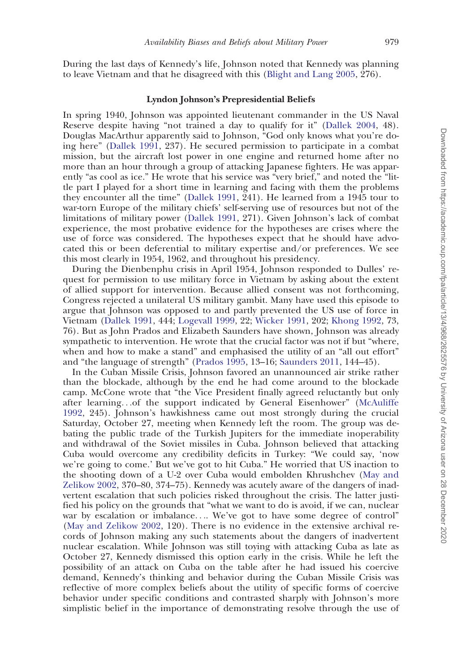During the last days of Kennedy's life, Johnson noted that Kennedy was planning to leave Vietnam and that he disagreed with this ([Blight and Lang 2005,](#page-15-0) 276).

# Lyndon Johnson's Prepresidential Beliefs

In spring 1940, Johnson was appointed lieutenant commander in the US Naval Reserve despite having "not trained a day to qualify for it" ([Dallek 2004,](#page-15-0) 48). Douglas MacArthur apparently said to Johnson, "God only knows what you're doing here" [\(Dallek 1991](#page-15-0), 237). He secured permission to participate in a combat mission, but the aircraft lost power in one engine and returned home after no more than an hour through a group of attacking Japanese fighters. He was apparently "as cool as ice." He wrote that his service was "very brief," and noted the "little part I played for a short time in learning and facing with them the problems they encounter all the time" ([Dallek 1991](#page-15-0), 241). He learned from a 1945 tour to war-torn Europe of the military chiefs' self-serving use of resources but not of the limitations of military power [\(Dallek 1991,](#page-15-0) 271). Given Johnson's lack of combat experience, the most probative evidence for the hypotheses are crises where the use of force was considered. The hypotheses expect that he should have advocated this or been deferential to military expertise and/or preferences. We see this most clearly in 1954, 1962, and throughout his presidency.

During the Dienbenphu crisis in April 1954, Johnson responded to Dulles' request for permission to use military force in Vietnam by asking about the extent of allied support for intervention. Because allied consent was not forthcoming, Congress rejected a unilateral US military gambit. Many have used this episode to argue that Johnson was opposed to and partly prevented the US use of force in Vietnam ([Dallek 1991,](#page-15-0) 444; [Logevall 1999,](#page-16-0) 22; [Wicker 1991,](#page-17-0) 202; [Khong 1992,](#page-16-0) 73, 76). But as John Prados and Elizabeth Saunders have shown, Johnson was already sympathetic to intervention. He wrote that the crucial factor was not if but "where, when and how to make a stand" and emphasised the utility of an "all out effort" and "the language of strength" ([Prados 1995,](#page-17-0) 13–16; [Saunders 2011,](#page-17-0) 144–45).

In the Cuban Missile Crisis, Johnson favored an unannounced air strike rather than the blockade, although by the end he had come around to the blockade camp. McCone wrote that "the Vice President finally agreed reluctantly but only after learning...of the support indicated by General Eisenhower" [\(McAuliffe](#page-16-0) [1992](#page-16-0), 245). Johnson's hawkishness came out most strongly during the crucial Saturday, October 27, meeting when Kennedy left the room. The group was debating the public trade of the Turkish Jupiters for the immediate inoperability and withdrawal of the Soviet missiles in Cuba. Johnson believed that attacking Cuba would overcome any credibility deficits in Turkey: "We could say, 'now we're going to come.' But we've got to hit Cuba." He worried that US inaction to the shooting down of a U-2 over Cuba would embolden Khrushchev ([May and](#page-16-0) [Zelikow 2002,](#page-16-0) 370–80, 374–75). Kennedy was acutely aware of the dangers of inadvertent escalation that such policies risked throughout the crisis. The latter justified his policy on the grounds that "what we want to do is avoid, if we can, nuclear war by escalation or imbalance.... We've got to have some degree of control" ([May and Zelikow 2002](#page-16-0), 120). There is no evidence in the extensive archival records of Johnson making any such statements about the dangers of inadvertent nuclear escalation. While Johnson was still toying with attacking Cuba as late as October 27, Kennedy dismissed this option early in the crisis. While he left the possibility of an attack on Cuba on the table after he had issued his coercive demand, Kennedy's thinking and behavior during the Cuban Missile Crisis was reflective of more complex beliefs about the utility of specific forms of coercive behavior under specific conditions and contrasted sharply with Johnson's more simplistic belief in the importance of demonstrating resolve through the use of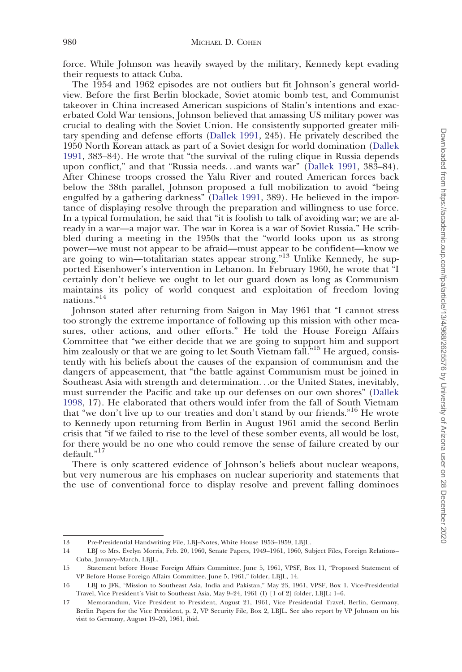force. While Johnson was heavily swayed by the military, Kennedy kept evading their requests to attack Cuba.

The 1954 and 1962 episodes are not outliers but fit Johnson's general worldview. Before the first Berlin blockade, Soviet atomic bomb test, and Communist takeover in China increased American suspicions of Stalin's intentions and exacerbated Cold War tensions, Johnson believed that amassing US military power was crucial to dealing with the Soviet Union. He consistently supported greater military spending and defense efforts ([Dallek 1991](#page-15-0), 245). He privately described the 1950 North Korean attack as part of a Soviet design for world domination [\(Dallek](#page-15-0) [1991](#page-15-0), 383–84). He wrote that "the survival of the ruling clique in Russia depends upon conflict," and that "Russia needs...and wants war" ([Dallek 1991,](#page-15-0) 383–84). After Chinese troops crossed the Yalu River and routed American forces back below the 38th parallel, Johnson proposed a full mobilization to avoid "being engulfed by a gathering darkness" [\(Dallek 1991](#page-15-0), 389). He believed in the importance of displaying resolve through the preparation and willingness to use force. In a typical formulation, he said that "it is foolish to talk of avoiding war; we are already in a war—a major war. The war in Korea is a war of Soviet Russia." He scribbled during a meeting in the 1950s that the "world looks upon us as strong power—we must not appear to be afraid—must appear to be confident—know we are going to win—totalitarian states appear strong."<sup>13</sup> Unlike Kennedy, he supported Eisenhower's intervention in Lebanon. In February 1960, he wrote that "I certainly don't believe we ought to let our guard down as long as Communism maintains its policy of world conquest and exploitation of freedom loving nations."<sup>14</sup>

Johnson stated after returning from Saigon in May 1961 that "I cannot stress too strongly the extreme importance of following up this mission with other measures, other actions, and other efforts." He told the House Foreign Affairs Committee that "we either decide that we are going to support him and support him zealously or that we are going to let South Vietnam fall.<sup>"15</sup> He argued, consistently with his beliefs about the causes of the expansion of communism and the dangers of appeasement, that "the battle against Communism must be joined in Southeast Asia with strength and determination...or the United States, inevitably, must surrender the Pacific and take up our defenses on our own shores" [\(Dallek](#page-15-0) [1998](#page-15-0), 17). He elaborated that others would infer from the fall of South Vietnam that "we don't live up to our treaties and don't stand by our friends."<sup>16</sup> He wrote to Kennedy upon returning from Berlin in August 1961 amid the second Berlin crisis that "if we failed to rise to the level of these somber events, all would be lost, for there would be no one who could remove the sense of failure created by our default."<sup>17</sup>

There is only scattered evidence of Johnson's beliefs about nuclear weapons, but very numerous are his emphases on nuclear superiority and statements that the use of conventional force to display resolve and prevent falling dominoes

<sup>13</sup> Pre-Presidential Handwriting File, LBJ–Notes, White House 1953–1959, LBJL.

<sup>14</sup> LBJ to Mrs. Evelyn Morris, Feb. 20, 1960, Senate Papers, 1949–1961, 1960, Subject Files, Foreign Relations– Cuba, January–March, LBJL.

<sup>15</sup> Statement before House Foreign Affairs Committee, June 5, 1961, VPSF, Box 11, "Proposed Statement of VP Before House Foreign Affairs Committee, June 5, 1961," folder, LBJL, 14.

<sup>16</sup> LBJ to JFK, "Mission to Southeast Asia, India and Pakistan," May 23, 1961, VPSF, Box 1, Vice-Presidential Travel, Vice President's Visit to Southeast Asia, May 9–24, 1961 (I) [1 of 2] folder, LBJL: 1–6.

<sup>17</sup> Memorandum, Vice President to President, August 21, 1961, Vice Presidential Travel, Berlin, Germany, Berlin Papers for the Vice President, p. 2, VP Security File, Box 2, LBJL. See also report by VP Johnson on his visit to Germany, August 19–20, 1961, ibid.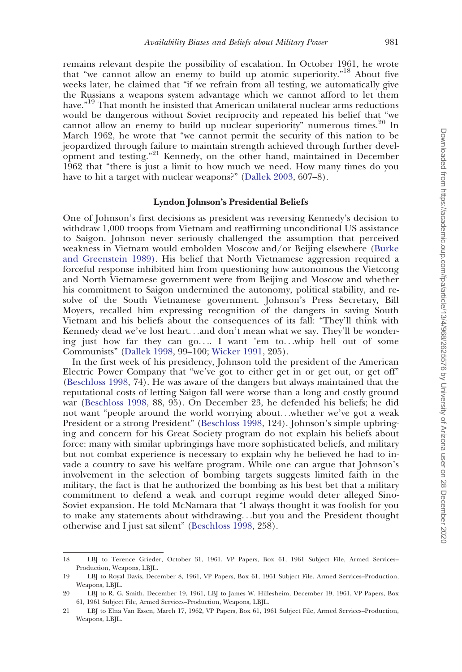remains relevant despite the possibility of escalation. In October 1961, he wrote that "we cannot allow an enemy to build up atomic superiority."<sup>18</sup> About five weeks later, he claimed that "if we refrain from all testing, we automatically give the Russians a weapons system advantage which we cannot afford to let them have."<sup>19</sup> That month he insisted that American unilateral nuclear arms reductions would be dangerous without Soviet reciprocity and repeated his belief that "we cannot allow an enemy to build up nuclear superiority" numerous times.<sup>20</sup> In March 1962, he wrote that "we cannot permit the security of this nation to be jeopardized through failure to maintain strength achieved through further development and testing."<sup>21</sup> Kennedy, on the other hand, maintained in December 1962 that "there is just a limit to how much we need. How many times do you have to hit a target with nuclear weapons?" [\(Dallek 2003,](#page-15-0) 607–8).

#### Lyndon Johnson's Presidential Beliefs

One of Johnson's first decisions as president was reversing Kennedy's decision to withdraw 1,000 troops from Vietnam and reaffirming unconditional US assistance to Saigon. Johnson never seriously challenged the assumption that perceived weakness in Vietnam would embolden Moscow and/or Beijing elsewhere ([Burke](#page-15-0) [and Greenstein 1989\)](#page-15-0). His belief that North Vietnamese aggression required a forceful response inhibited him from questioning how autonomous the Vietcong and North Vietnamese government were from Beijing and Moscow and whether his commitment to Saigon undermined the autonomy, political stability, and resolve of the South Vietnamese government. Johnson's Press Secretary, Bill Moyers, recalled him expressing recognition of the dangers in saving South Vietnam and his beliefs about the consequences of its fall: "They'll think with Kennedy dead we've lost heart...and don't mean what we say. They'll be wondering just how far they can go.... I want 'em to...whip hell out of some Communists" [\(Dallek 1998](#page-15-0), 99–100; [Wicker 1991](#page-17-0), 205).

In the first week of his presidency, Johnson told the president of the American Electric Power Company that "we've got to either get in or get out, or get off" ([Beschloss 1998](#page-15-0), 74). He was aware of the dangers but always maintained that the reputational costs of letting Saigon fall were worse than a long and costly ground war ([Beschloss 1998,](#page-15-0) 88, 95). On December 23, he defended his beliefs; he did not want "people around the world worrying about...whether we've got a weak President or a strong President" [\(Beschloss 1998,](#page-15-0) 124). Johnson's simple upbringing and concern for his Great Society program do not explain his beliefs about force: many with similar upbringings have more sophisticated beliefs, and military but not combat experience is necessary to explain why he believed he had to invade a country to save his welfare program. While one can argue that Johnson's involvement in the selection of bombing targets suggests limited faith in the military, the fact is that he authorized the bombing as his best bet that a military commitment to defend a weak and corrupt regime would deter alleged Sino-Soviet expansion. He told McNamara that "I always thought it was foolish for you to make any statements about withdrawing...but you and the President thought otherwise and I just sat silent" [\(Beschloss 1998](#page-15-0), 258).

<sup>18</sup> LBJ to Terence Grieder, October 31, 1961, VP Papers, Box 61, 1961 Subject File, Armed Services– Production, Weapons, LBJL.

<sup>19</sup> LBJ to Royal Davis, December 8, 1961, VP Papers, Box 61, 1961 Subject File, Armed Services–Production, Weapons, LBJL.

<sup>20</sup> LBJ to R. G. Smith, December 19, 1961, LBJ to James W. Hillesheim, December 19, 1961, VP Papers, Box 61, 1961 Subject File, Armed Services–Production, Weapons, LBJL.

<sup>21</sup> LBJ to Elna Van Essen, March 17, 1962, VP Papers, Box 61, 1961 Subject File, Armed Services–Production, Weapons, LBJL.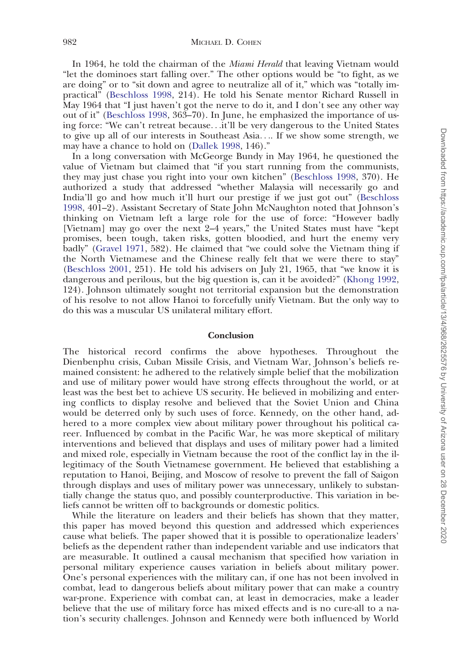In 1964, he told the chairman of the Miami Herald that leaving Vietnam would "let the dominoes start falling over." The other options would be "to fight, as we are doing" or to "sit down and agree to neutralize all of it," which was "totally impractical" [\(Beschloss 1998](#page-15-0), 214). He told his Senate mentor Richard Russell in May 1964 that "I just haven't got the nerve to do it, and I don't see any other way out of it" [\(Beschloss 1998](#page-15-0), 363–70). In June, he emphasized the importance of using force: "We can't retreat because...it'll be very dangerous to the United States to give up all of our interests in Southeast Asia.... If we show some strength, we may have a chance to hold on ([Dallek 1998](#page-15-0), 146)."

In a long conversation with McGeorge Bundy in May 1964, he questioned the value of Vietnam but claimed that "if you start running from the communists, they may just chase you right into your own kitchen" ([Beschloss 1998](#page-15-0), 370). He authorized a study that addressed "whether Malaysia will necessarily go and India'll go and how much it'll hurt our prestige if we just got out" ([Beschloss](#page-15-0) [1998](#page-15-0), 401–2). Assistant Secretary of State John McNaughton noted that Johnson's thinking on Vietnam left a large role for the use of force: "However badly [Vietnam] may go over the next 2-4 years," the United States must have "kept promises, been tough, taken risks, gotten bloodied, and hurt the enemy very badly" ([Gravel 1971](#page-16-0), 582). He claimed that "we could solve the Vietnam thing if the North Vietnamese and the Chinese really felt that we were there to stay" ([Beschloss 2001,](#page-15-0) 251). He told his advisers on July 21, 1965, that "we know it is dangerous and perilous, but the big question is, can it be avoided?" [\(Khong 1992,](#page-16-0) 124). Johnson ultimately sought not territorial expansion but the demonstration of his resolve to not allow Hanoi to forcefully unify Vietnam. But the only way to do this was a muscular US unilateral military effort.

## Conclusion

The historical record confirms the above hypotheses. Throughout the Dienbenphu crisis, Cuban Missile Crisis, and Vietnam War, Johnson's beliefs remained consistent: he adhered to the relatively simple belief that the mobilization and use of military power would have strong effects throughout the world, or at least was the best bet to achieve US security. He believed in mobilizing and entering conflicts to display resolve and believed that the Soviet Union and China would be deterred only by such uses of force. Kennedy, on the other hand, adhered to a more complex view about military power throughout his political career. Influenced by combat in the Pacific War, he was more skeptical of military interventions and believed that displays and uses of military power had a limited and mixed role, especially in Vietnam because the root of the conflict lay in the illegitimacy of the South Vietnamese government. He believed that establishing a reputation to Hanoi, Beijing, and Moscow of resolve to prevent the fall of Saigon through displays and uses of military power was unnecessary, unlikely to substantially change the status quo, and possibly counterproductive. This variation in beliefs cannot be written off to backgrounds or domestic politics.

While the literature on leaders and their beliefs has shown that they matter, this paper has moved beyond this question and addressed which experiences cause what beliefs. The paper showed that it is possible to operationalize leaders' beliefs as the dependent rather than independent variable and use indicators that are measurable. It outlined a causal mechanism that specified how variation in personal military experience causes variation in beliefs about military power. One's personal experiences with the military can, if one has not been involved in combat, lead to dangerous beliefs about military power that can make a country war-prone. Experience with combat can, at least in democracies, make a leader believe that the use of military force has mixed effects and is no cure-all to a nation's security challenges. Johnson and Kennedy were both influenced by World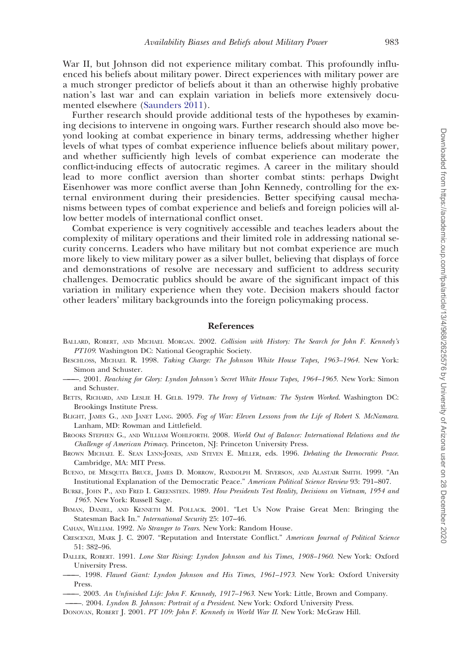<span id="page-15-0"></span>War II, but Johnson did not experience military combat. This profoundly influenced his beliefs about military power. Direct experiences with military power are a much stronger predictor of beliefs about it than an otherwise highly probative nation's last war and can explain variation in beliefs more extensively documented elsewhere ([Saunders 2011\)](#page-17-0).

Further research should provide additional tests of the hypotheses by examining decisions to intervene in ongoing wars. Further research should also move beyond looking at combat experience in binary terms, addressing whether higher levels of what types of combat experience influence beliefs about military power, and whether sufficiently high levels of combat experience can moderate the conflict-inducing effects of autocratic regimes. A career in the military should lead to more conflict aversion than shorter combat stints: perhaps Dwight Eisenhower was more conflict averse than John Kennedy, controlling for the external environment during their presidencies. Better specifying causal mechanisms between types of combat experience and beliefs and foreign policies will allow better models of international conflict onset.

Combat experience is very cognitively accessible and teaches leaders about the complexity of military operations and their limited role in addressing national security concerns. Leaders who have military but not combat experience are much more likely to view military power as a silver bullet, believing that displays of force and demonstrations of resolve are necessary and sufficient to address security challenges. Democratic publics should be aware of the significant impact of this variation in military experience when they vote. Decision makers should factor other leaders' military backgrounds into the foreign policymaking process.

#### References

- BALLARD, ROBERT, AND MICHAEL MORGAN. 2002. Collision with History: The Search for John F. Kennedy's PT109. Washington DC: National Geographic Society.
- BESCHLOSS, MICHAEL R. 1998. Taking Charge: The Johnson White House Tapes, 1963–1964. New York: Simon and Schuster.
- ———. 2001. Reaching for Glory: Lyndon Johnson's Secret White House Tapes, 1964–1965. New York: Simon and Schuster.
- BETTS, RICHARD, AND LESLIE H. GELB. 1979. The Irony of Vietnam: The System Worked. Washington DC: Brookings Institute Press.
- BLIGHT, JAMES G., AND JANET LANG. 2005. Fog of War: Eleven Lessons from the Life of Robert S. McNamara. Lanham, MD: Rowman and Littlefield.
- BROOKS STEPHEN G., AND WILLIAM WOHLFORTH. 2008. World Out of Balance: International Relations and the Challenge of American Primacy. Princeton, NJ: Princeton University Press.
- BROWN MICHAEL E. SEAN LYNN-JONES, AND STEVEN E. MILLER, eds. 1996. Debating the Democratic Peace. Cambridge, MA: MIT Press.
- BUENO, DE MESQUITA BRUCE, JAMES D. MORROW, RANDOLPH M. SIVERSON, AND ALASTAIR SMITH. 1999. "An Institutional Explanation of the Democratic Peace." American Political Science Review 93: 791–807.
- BURKE, JOHN P., AND FRED I. GREENSTEIN. 1989. How Presidents Test Reality, Decisions on Vietnam, 1954 and 1965. New York: Russell Sage.
- BYMAN, DANIEL, AND KENNETH M. POLLACK. 2001. "Let Us Now Praise Great Men: Bringing the Statesman Back In." International Security 25: 107-46.
- CAHAN, WILLIAM. 1992. No Stranger to Tears. New York: Random House.
- CRESCENZI, MARK J. C. 2007. "Reputation and Interstate Conflict." American Journal of Political Science 51: 382–96.
- DALLEK, ROBERT. 1991. Lone Star Rising: Lyndon Johnson and his Times, 1908–1960. New York: Oxford University Press.
- ———. 1998. Flawed Giant: Lyndon Johnson and His Times, 1961–1973. New York: Oxford University Press.
	- ———. 2003. An Unfinished Life: John F. Kennedy, 1917–1963. New York: Little, Brown and Company.

———. 2004. Lyndon B. Johnson: Portrait of a President. New York: Oxford University Press.

DONOVAN, ROBERT J. 2001. PT 109: John F. Kennedy in World War II. New York: McGraw Hill.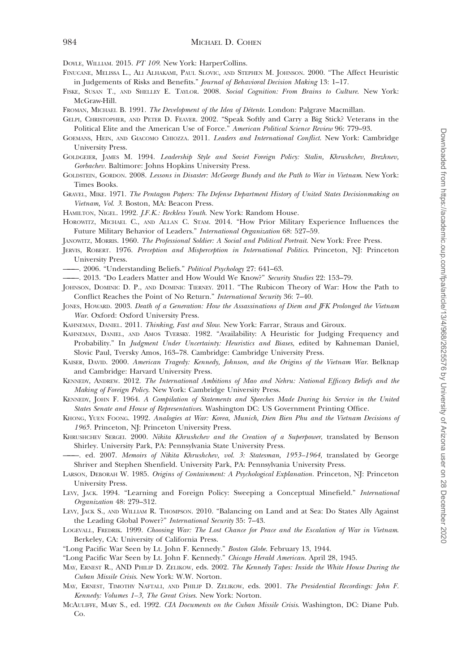<span id="page-16-0"></span>DOYLE, WILLIAM. 2015. PT 109. New York: HarperCollins.

- FINUCANE, MELISSA L., ALI ALHAKAMI, PAUL SLOVIC, AND STEPHEN M. JOHNSON. 2000. "The Affect Heuristic in Judgements of Risks and Benefits." Journal of Behavioral Decision Making 13: 1–17.
- FISKE, SUSAN T., AND SHELLEY E. TAYLOR. 2008. Social Cognition: From Brains to Culture. New York: McGraw-Hill.
- FROMAN, MICHAEL B. 1991. The Development of the Idea of Détente. London: Palgrave Macmillan.
- GELPI, CHRISTOPHER, AND PETER D. FEAVER. 2002. "Speak Softly and Carry a Big Stick? Veterans in the Political Elite and the American Use of Force." American Political Science Review 96: 779–93.
- GOEMANS, HEIN, AND GIACOMO CHIOZZA. 2011. Leaders and International Conflict. New York: Cambridge University Press.
- GOLDGEIER, JAMES M. 1994. Leadership Style and Soviet Foreign Policy: Stalin, Khrushchev, Brezhnev, Gorbachev. Baltimore: Johns Hopkins University Press.
- GOLDSTEIN, GORDON. 2008. Lessons in Disaster: McGeorge Bundy and the Path to War in Vietnam. New York: Times Books.
- GRAVEL, MIKE. 1971. The Pentagon Papers: The Defense Department History of United States Decisionmaking on Vietnam, Vol. 3. Boston, MA: Beacon Press.
- HAMILTON, NIGEL. 1992. *J.F.K.: Reckless Youth*. New York: Random House.
- HOROWITZ, MICHAEL C., AND ALLAN C. STAM. 2014. "How Prior Military Experience Influences the Future Military Behavior of Leaders." International Organization 68: 527–59.
- JANOWITZ, MORRIS. 1960. The Professional Soldier: A Social and Political Portrait. New York: Free Press.
- JERVIS, ROBERT. 1976. Perception and Misperception in International Politics. Princeton, NJ: Princeton University Press.
- -. 2006. "Understanding Beliefs." Political Psychology 27: 641–63.
- -. 2013. "Do Leaders Matter and How Would We Know?" Security Studies 22: 153-79.
- JOHNSON, DOMINIC D. P., AND DOMINIC TIERNEY. 2011. "The Rubicon Theory of War: How the Path to Conflict Reaches the Point of No Return." International Security 36: 7–40.
- JONES, HOWARD. 2003. Death of a Generation: How the Assassinations of Diem and JFK Prolonged the Vietnam War. Oxford: Oxford University Press.
- KAHNEMAN, DANIEL. 2011. Thinking, Fast and Slow. New York: Farrar, Straus and Giroux.
- KAHNEMAN, DANIEL, AND AMOS TVERSKY. 1982. "Availability: A Heuristic for Judging Frequency and Probability." In Judgment Under Uncertainty: Heuristics and Biases, edited by Kahneman Daniel, Slovic Paul, Tversky Amos, 163–78. Cambridge: Cambridge University Press.
- KAISER, DAVID. 2000. American Tragedy: Kennedy, Johnson, and the Origins of the Vietnam War. Belknap and Cambridge: Harvard University Press.
- KENNEDY, ANDREW. 2012. The International Ambitions of Mao and Nehru: National Efficacy Beliefs and the Making of Foreign Policy. New York: Cambridge University Press.
- KENNEDY, JOHN F. 1964. A Compilation of Statements and Speeches Made During his Service in the United States Senate and House of Representatives. Washington DC: US Government Printing Office.
- KHONG, YUEN FOONG. 1992. Analogies at War: Korea, Munich, Dien Bien Phu and the Vietnam Decisions of 1965. Princeton, NJ: Princeton University Press.
- KHRUSHCHEV SERGEI. 2000. Nikita Khrushchev and the Creation of a Superpower, translated by Benson Shirley. University Park, PA: Pennsylvania State University Press.
- -. ed. 2007. Memoirs of Nikita Khrushchev, vol. 3: Statesman, 1953-1964, translated by George Shriver and Stephen Shenfield. University Park, PA: Pennsylvania University Press.
- LARSON, DEBORAH W. 1985. Origins of Containment: A Psychological Explanation. Princeton, NJ: Princeton University Press.
- LEVY, JACK. 1994. "Learning and Foreign Policy: Sweeping a Conceptual Minefield." International Organization 48: 279–312.
- LEVY, JACK S., AND WILLIAM R. THOMPSON. 2010. "Balancing on Land and at Sea: Do States Ally Against the Leading Global Power?" International Security 35: 7–43.
- LOGEVALL, FREDRIK. 1999. Choosing War: The Lost Chance for Peace and the Escalation of War in Vietnam. Berkeley, CA: University of California Press.
- "Long Pacific War Seen by Lt. John F. Kennedy." Boston Globe. February 13, 1944.
- "Long Pacific War Seen by Lt. John F. Kennedy." Chicago Herald American. April 28, 1945.
- MAY, ERNEST R., AND PHILIP D. ZELIKOW, eds. 2002. The Kennedy Tapes: Inside the White House During the Cuban Missile Crisis. New York: W.W. Norton.
- MAY, ERNEST, TIMOTHY NAFTALI, AND PHILIP D. ZELIKOW, eds. 2001. The Presidential Recordings: John F. Kennedy: Volumes 1–3, The Great Crises. New York: Norton.
- MCAULIFFE, MARY S., ed. 1992. CIA Documents on the Cuban Missile Crisis. Washington, DC: Diane Pub. Co.